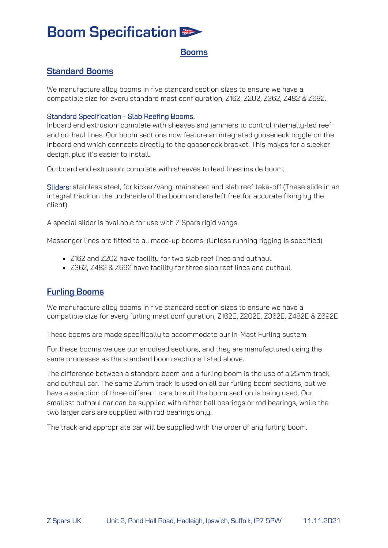# **Boom Specification ED**

### **Booms**

## **Standard Booms**

We manufacture alloy booms in five standard section sizes to ensure we have a compatible size for every standard mast configuration, Z162, Z202, Z362, Z482 & Z692.

#### Standard Specification - Slab Reefing Booms.

Inboard end extrusion: complete with sheaves and jammers to control internally-led reef and outhaul lines. Our boom sections now feature an integrated gooseneck toggle on the inboard end which connects directly to the gooseneck bracket. This makes for a sleeker design, plus it's easier to install.

Outboard end extrusion: complete with sheaves to lead lines inside boom.

Sliders: stainless steel, for kicker/vang, mainsheet and slab reef take-off (These slide in an integral track on the underside of the boom and are left free for accurate fixing by the client).

A special slider is available for use with Z Spars rigid vangs.

Messenger lines are fitted to all made-up booms. (Unless running rigging is specified)

- Z162 and Z202 have facility for two slab reef lines and outhaul.
- Z362, Z482 & Z692 have facility for three slab reef lines and outhaul.

### **Furling Booms**

We manufacture alloy booms in five standard section sizes to ensure we have a compatible size for every furling mast configuration, Z162E, Z202E, Z362E, Z482E & Z692E

These booms are made specifically to accommodate our In-Mast Furling system.

For these booms we use our anodised sections, and they are manufactured using the same processes as the standard boom sections listed above.

The difference between a standard boom and a furling boom is the use of a 25mm track and outhaul car. The same 25mm track is used on all our furling boom sections, but we have a selection of three different cars to suit the boom section is being used. Our smallest outhaul car can be supplied with either ball bearings or rod bearings, while the two larger cars are supplied with rod bearings only.

The track and appropriate car will be supplied with the order of any furling boom.